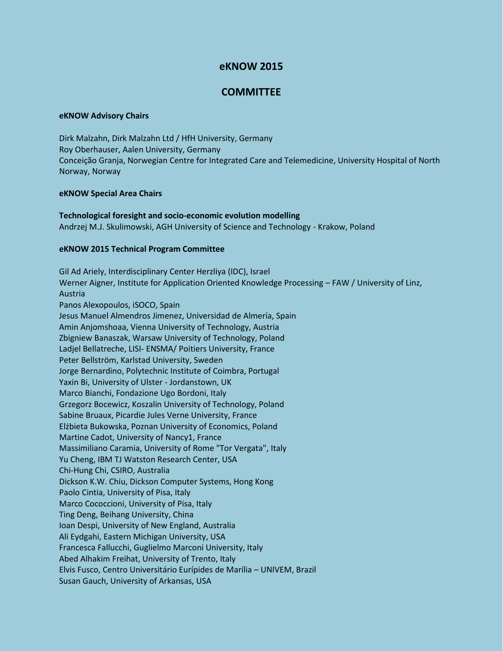# **eKNOW 2015**

# **COMMITTEE**

### **eKNOW Advisory Chairs**

Dirk Malzahn, Dirk Malzahn Ltd / HfH University, Germany Roy Oberhauser, Aalen University, Germany Conceição Granja, Norwegian Centre for Integrated Care and Telemedicine, University Hospital of North Norway, Norway

### **eKNOW Special Area Chairs**

**Technological foresight and socio-economic evolution modelling** Andrzej M.J. Skulimowski, AGH University of Science and Technology - Krakow, Poland

#### **eKNOW 2015 Technical Program Committee**

Gil Ad Ariely, Interdisciplinary Center Herzliya (IDC), Israel Werner Aigner, Institute for Application Oriented Knowledge Processing – FAW / University of Linz, Austria Panos Alexopoulos, iSOCO, Spain Jesus Manuel Almendros Jimenez, Universidad de Almería, Spain Amin Anjomshoaa, Vienna University of Technology, Austria Zbigniew Banaszak, Warsaw University of Technology, Poland Ladjel Bellatreche, LISI- ENSMA/ Poitiers University, France Peter Bellström, Karlstad University, Sweden Jorge Bernardino, Polytechnic Institute of Coimbra, Portugal Yaxin Bi, University of Ulster - Jordanstown, UK Marco Bianchi, Fondazione Ugo Bordoni, Italy Grzegorz Bocewicz, Koszalin University of Technology, Poland Sabine Bruaux, Picardie Jules Verne University, France Elżbieta Bukowska, Poznan University of Economics, Poland Martine Cadot, University of Nancy1, France Massimiliano Caramia, University of Rome "Tor Vergata", Italy Yu Cheng, IBM TJ Watston Research Center, USA Chi-Hung Chi, CSIRO, Australia Dickson K.W. Chiu, Dickson Computer Systems, Hong Kong Paolo Cintia, University of Pisa, Italy Marco Cococcioni, University of Pisa, Italy Ting Deng, Beihang University, China Ioan Despi, University of New England, Australia Ali Eydgahi, Eastern Michigan University, USA Francesca Fallucchi, Guglielmo Marconi University, Italy Abed Alhakim Freihat, University of Trento, Italy Elvis Fusco, Centro Universitário Eurípides de Marília – UNIVEM, Brazil Susan Gauch, University of Arkansas, USA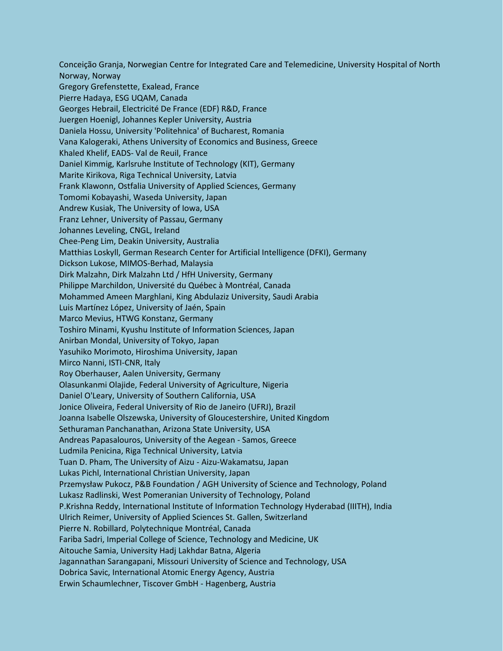Conceição Granja, Norwegian Centre for Integrated Care and Telemedicine, University Hospital of North Norway, Norway Gregory Grefenstette, Exalead, France Pierre Hadaya, ESG UQAM, Canada Georges Hebrail, Electricité De France (EDF) R&D, France Juergen Hoenigl, Johannes Kepler University, Austria Daniela Hossu, University 'Politehnica' of Bucharest, Romania Vana Kalogeraki, Athens University of Economics and Business, Greece Khaled Khelif, EADS- Val de Reuil, France Daniel Kimmig, Karlsruhe Institute of Technology (KIT), Germany Marite Kirikova, Riga Technical University, Latvia Frank Klawonn, Ostfalia University of Applied Sciences, Germany Tomomi Kobayashi, Waseda University, Japan Andrew Kusiak, The University of Iowa, USA Franz Lehner, University of Passau, Germany Johannes Leveling, CNGL, Ireland Chee-Peng Lim, Deakin University, Australia Matthias Loskyll, German Research Center for Artificial Intelligence (DFKI), Germany Dickson Lukose, MIMOS-Berhad, Malaysia Dirk Malzahn, Dirk Malzahn Ltd / HfH University, Germany Philippe Marchildon, Université du Québec à Montréal, Canada Mohammed Ameen Marghlani, King Abdulaziz University, Saudi Arabia Luis Martínez López, University of Jaén, Spain Marco Mevius, HTWG Konstanz, Germany Toshiro Minami, Kyushu Institute of Information Sciences, Japan Anirban Mondal, University of Tokyo, Japan Yasuhiko Morimoto, Hiroshima University, Japan Mirco Nanni, ISTI-CNR, Italy Roy Oberhauser, Aalen University, Germany Olasunkanmi Olajide, Federal University of Agriculture, Nigeria Daniel O'Leary, University of Southern California, USA Jonice Oliveira, Federal University of Rio de Janeiro (UFRJ), Brazil Joanna Isabelle Olszewska, University of Gloucestershire, United Kingdom Sethuraman Panchanathan, Arizona State University, USA Andreas Papasalouros, University of the Aegean - Samos, Greece Ludmila Penicina, Riga Technical University, Latvia Tuan D. Pham, The University of Aizu - Aizu-Wakamatsu, Japan Lukas Pichl, International Christian University, Japan Przemysław Pukocz, P&B Foundation / AGH University of Science and Technology, Poland Lukasz Radlinski, West Pomeranian University of Technology, Poland P.Krishna Reddy, International Institute of Information Technology Hyderabad (IIITH), India Ulrich Reimer, University of Applied Sciences St. Gallen, Switzerland Pierre N. Robillard, Polytechnique Montréal, Canada Fariba Sadri, Imperial College of Science, Technology and Medicine, UK Aitouche Samia, University Hadj Lakhdar Batna, Algeria Jagannathan Sarangapani, Missouri University of Science and Technology, USA Dobrica Savic, International Atomic Energy Agency, Austria Erwin Schaumlechner, Tiscover GmbH - Hagenberg, Austria